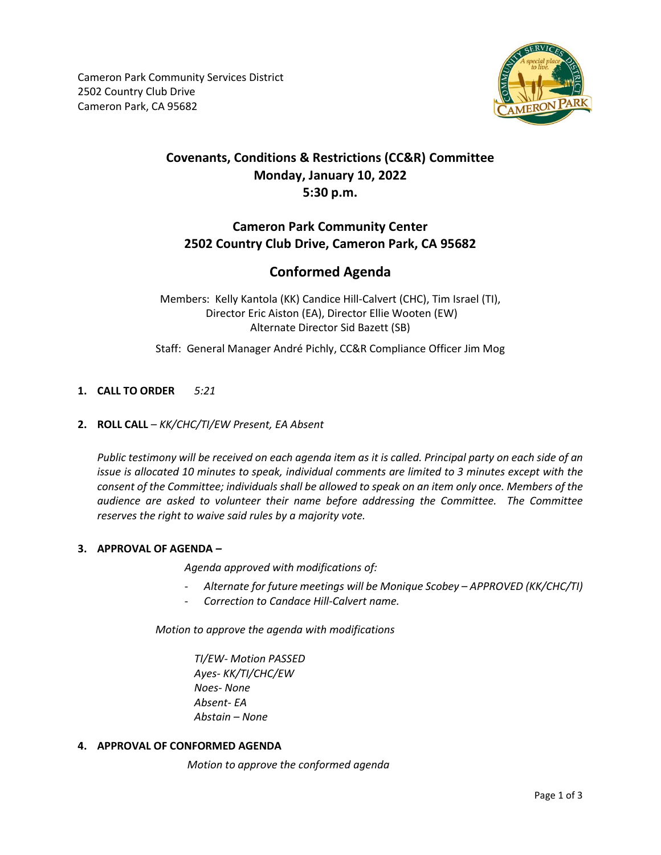

## **Covenants, Conditions & Restrictions (CC&R) Committee Monday, January 10, 2022 5:30 p.m.**

## **Cameron Park Community Center 2502 Country Club Drive, Cameron Park, CA 95682**

## **Conformed Agenda**

Members: Kelly Kantola (KK) Candice Hill-Calvert (CHC), Tim Israel (TI), Director Eric Aiston (EA), Director Ellie Wooten (EW) Alternate Director Sid Bazett (SB)

Staff: General Manager André Pichly, CC&R Compliance Officer Jim Mog

### **1. CALL TO ORDER** *5:21*

#### **2. ROLL CALL** – *KK/CHC/TI/EW Present, EA Absent*

*Public testimony will be received on each agenda item as it is called. Principal party on each side of an issue is allocated 10 minutes to speak, individual comments are limited to 3 minutes except with the consent of the Committee; individuals shall be allowed to speak on an item only once. Members of the audience are asked to volunteer their name before addressing the Committee. The Committee reserves the right to waive said rules by a majority vote.*

#### **3. APPROVAL OF AGENDA** *–*

*Agenda approved with modifications of:*

- *Alternate for future meetings will be Monique Scobey – APPROVED (KK/CHC/TI)*
- *Correction to Candace Hill-Calvert name.*

*Motion to approve the agenda with modifications*

*TI/EW- Motion PASSED Ayes- KK/TI/CHC/EW Noes- None Absent- EA Abstain – None*

#### **4. APPROVAL OF CONFORMED AGENDA**

*Motion to approve the conformed agenda*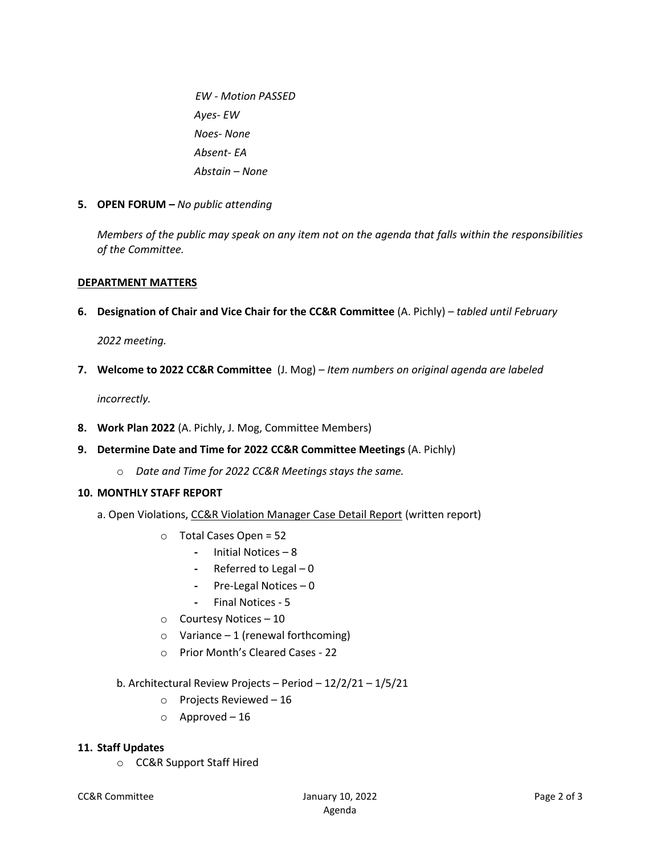*EW - Motion PASSED Ayes- EW Noes- None Absent- EA Abstain – None*

**5. OPEN FORUM** *– No public attending*

*Members of the public may speak on any item not on the agenda that falls within the responsibilities of the Committee.*

#### **DEPARTMENT MATTERS**

**6. Designation of Chair and Vice Chair for the CC&R Committee** (A. Pichly) – *tabled until February*

*2022 meeting.*

**7. Welcome to 2022 CC&R Committee** (J. Mog) *– Item numbers on original agenda are labeled*

*incorrectly.*

- **8. Work Plan 2022** (A. Pichly, J. Mog, Committee Members)
- **9. Determine Date and Time for 2022 CC&R Committee Meetings** (A. Pichly)
	- o *Date and Time for 2022 CC&R Meetings stays the same.*

#### **10. MONTHLY STAFF REPORT**

- a. Open Violations, CC&R Violation Manager Case Detail Report (written report)
	- o Total Cases Open = 52
		- **-** Initial Notices 8
		- **-** Referred to Legal 0
		- **-** Pre-Legal Notices 0
		- **-** Final Notices 5
	- o Courtesy Notices 10
	- $\circ$  Variance 1 (renewal forthcoming)
	- o Prior Month's Cleared Cases 22
	- b. Architectural Review Projects Period 12/2/21 1/5/21
		- o Projects Reviewed 16
		- o Approved 16

#### **11. Staff Updates**

o CC&R Support Staff Hired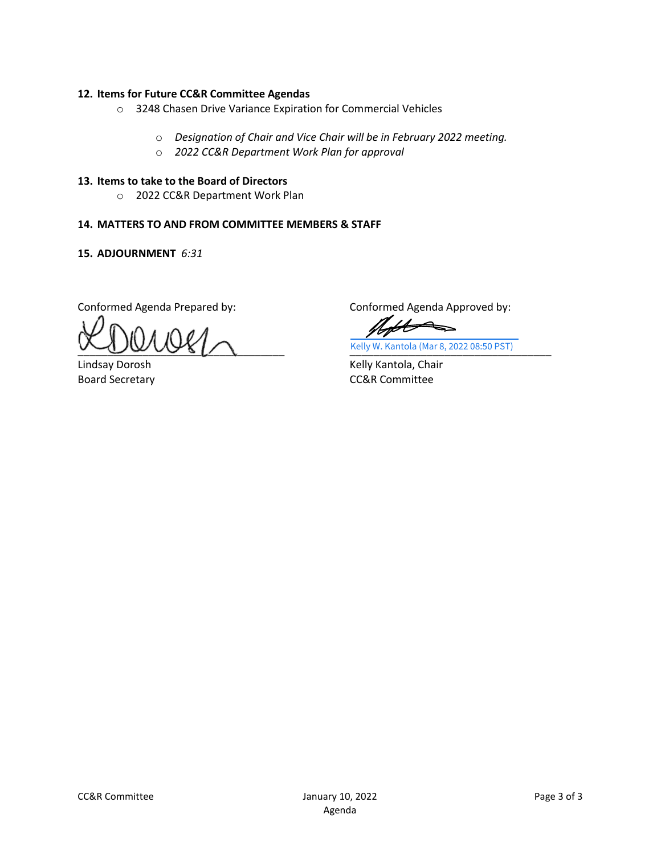#### **12. Items for Future CC&R Committee Agendas**

- o 3248 Chasen Drive Variance Expiration for Commercial Vehicles
	- o *Designation of Chair and Vice Chair will be in February 2022 meeting.*
	- o *2022 CC&R Department Work Plan for approval*

#### **13. Items to take to the Board of Directors**

o 2022 CC&R Department Work Plan

#### **14. MATTERS TO AND FROM COMMITTEE MEMBERS & STAFF**

#### **15. ADJOURNMENT** *6:31*

Conformed Agenda Prepared by:

 $\frac{1}{2}$ 

Lindsay Dorosh Board Secretary

Conformed Agenda Approved by:

Note  $\blacklozenge$ 

\_\_\_\_\_\_\_\_\_\_\_\_\_\_\_\_\_\_\_\_\_\_\_\_\_\_\_\_\_\_\_\_\_\_ [Kelly W. Kantola \(Mar 8, 2022 08:50 PST\)](https://secure.na2.adobesign.com/verifier?tx=CBJCHBCAABAAGZ96URGxBAX3CfgPRhLntdgHyzoIcDOt)

Kelly Kantola, Chair CC&R Committee